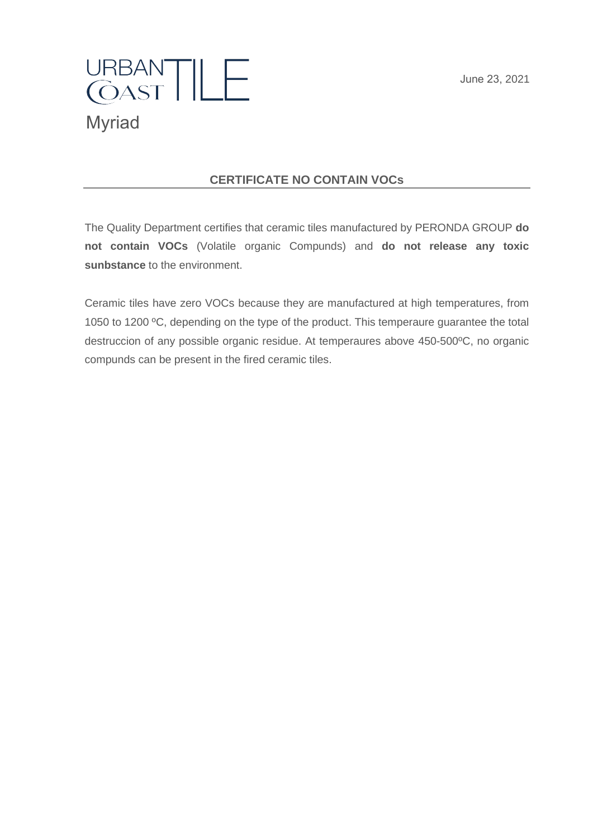June 23, 2021



### **CERTIFICATE NO CONTAIN VOCs**

The Quality Department certifies that ceramic tiles manufactured by PERONDA GROUP **do not contain VOCs** (Volatile organic Compunds) and **do not release any toxic sunbstance** to the environment.

Ceramic tiles have zero VOCs because they are manufactured at high temperatures, from 1050 to 1200 ºC, depending on the type of the product. This temperaure guarantee the total destruccion of any possible organic residue. At temperaures above 450-500ºC, no organic compunds can be present in the fired ceramic tiles.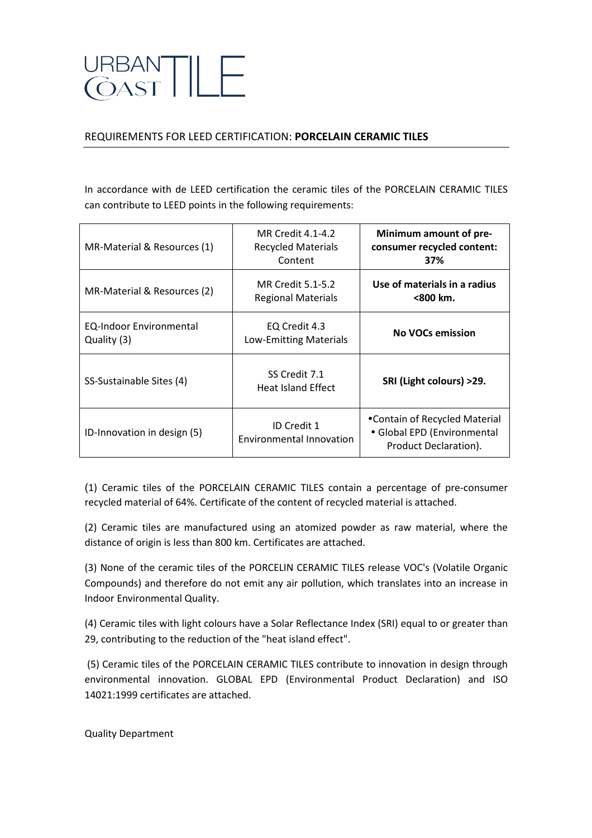# JRBANTILE<br>COASTILE

#### REQUIREMENTS FOR LEED CERTIFICATION: PORCELAIN CERAMIC TILES

In accordance with de LEED certification the ceramic tiles of the PORCELAIN CERAMIC TILES can contribute to LEED points in the following requirements:

| MR-Material & Resources (1)                   | MR Credit 4.1-4.2<br><b>Recycled Materials</b><br>Content | Minimum amount of pre-<br>consumer recycled content:<br>37%                           |
|-----------------------------------------------|-----------------------------------------------------------|---------------------------------------------------------------------------------------|
| MR-Material & Resources (2)                   | MR Credit 5.1-5.2<br><b>Regional Materials</b>            | Use of materials in a radius<br><800 km.                                              |
| <b>EQ-Indoor Environmental</b><br>Quality (3) | EQ Credit 4.3<br><b>Low-Emitting Materials</b>            | <b>No VOCs emission</b>                                                               |
| SS-Sustainable Sites (4)                      | SS Credit 7.1<br><b>Heat Island Effect</b>                | SRI (Light colours) >29.                                                              |
| ID-Innovation in design (5)                   | ID Credit 1<br><b>Environmental Innovation</b>            | •Contain of Recycled Material<br>• Global EPD (Environmental<br>Product Declaration). |

(1) Ceramic tiles of the PORCELAIN CERAMIC TILES contain a percentage of pre-consumer recycled material of 64%. Certificate of the content of recycled material is attached.

(2) Ceramic tiles are manufactured using an atomized powder as raw material, where the distance of origin is less than 800 km. Certificates are attached.

(3) None of the ceramic tiles of the PORCELIN CERAMIC TILES release VOC's (Volatile Organic Compounds) and therefore do not emit any air pollution, which translates into an increase in Indoor Environmental Quality.

(4) Ceramic tiles with light colours have a Solar Reflectance Index (SRI) equal to or greater than 29, contributing to the reduction of the "heat island effect".

(5) Ceramic tiles of the PORCELAIN CERAMIC TILES contribute to innovation in design through environmental innovation. GLOBAL EPD (Environmental Product Declaration) and ISO 14021:1999 certificates are attached.

Quality Department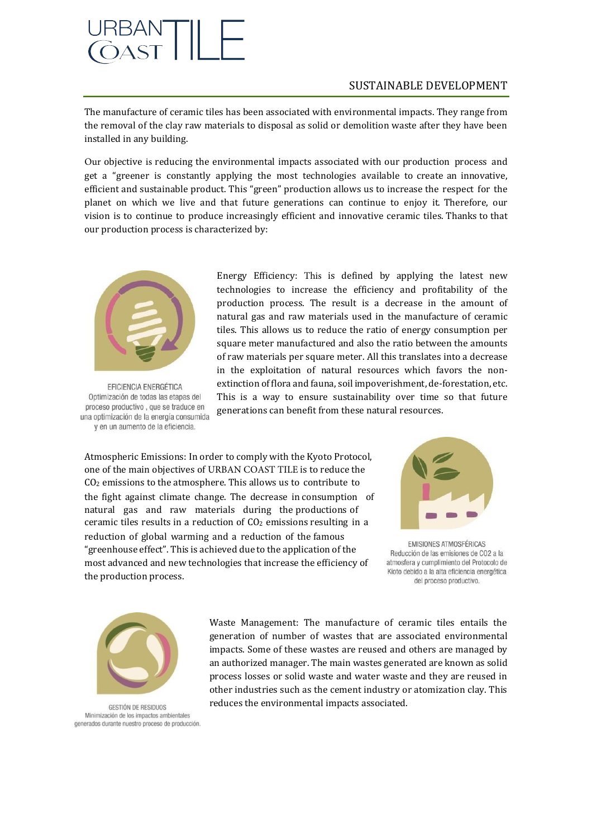## 

#### SUSTAINABLE DEVELOPMENT

The manufacture of ceramic tiles has been associated with environmental impacts. They range from the removal of the clay raw materials to disposal as solid or demolition waste after they have been installed in any building.

Our objective is reducing the environmental impacts associated with our production process and get a "greener is constantly applying the most technologies available to create an innovative, efficient and sustainable product. This "green" production allows us to increase the respect for the planet on which we live and that future generations can continue to enjoy it. Therefore, our vision is to continue to produce increasingly efficient and innovative ceramic tiles. Thanks to that our production process is characterized by:



**EFICIENCIA ENERGÉTICA** Optimización de todas las etapas del proceso productivo, que se traduce en una optimización de la energía consumida y en un aumento de la eficiencia.

Energy Efficiency: This is defined by applying the latest new technologies to increase the efficiency and profitability of the production process. The result is a decrease in the amount of natural gas and raw materials used in the manufacture of ceramic tiles. This allows us to reduce the ratio of energy consumption per square meter manufactured and also the ratio between the amounts of raw materials per square meter. All this translates into a decrease in the exploitation of natural resources which favors the nonextinction of flora and fauna, soil impoverishment, de-forestation, etc. This is a way to ensure sustainability over time so that future generations can benefit from these natural resources.

Atmospheric Emissions: In order to comply with the Kyoto Protocol, one of the main objectives of URBAN COAST TILE is to reduce the CO<sup>2</sup> emissions to the atmosphere. This allows us to contribute to the fight against climate change. The decrease in consumption of natural gas and raw materials during the productions of ceramic tiles results in a reduction of  $CO<sub>2</sub>$  emissions resulting in a reduction of global warming and a reduction of the famous "greenhouse effect". This is achieved due to the application of the most advanced and new technologies that increase the efficiency of the production process.



EMISIONES ATMOSFÉRICAS Reducción de las emisiones de CO2 a la atmosfera y cumplimiento del Protocolo de Kioto debido a la alta eficiencia energética del proceso productivo.



GESTIÓN DE RESIDUOS Minimización de los impactos ambientales generados durante nuestro proceso de producción

Waste Management: The manufacture of ceramic tiles entails the generation of number of wastes that are associated environmental impacts. Some of these wastes are reused and others are managed by an authorized manager. The main wastes generated are known as solid process losses or solid waste and water waste and they are reused in other industries such as the cement industry or atomization clay. This reduces the environmental impacts associated.